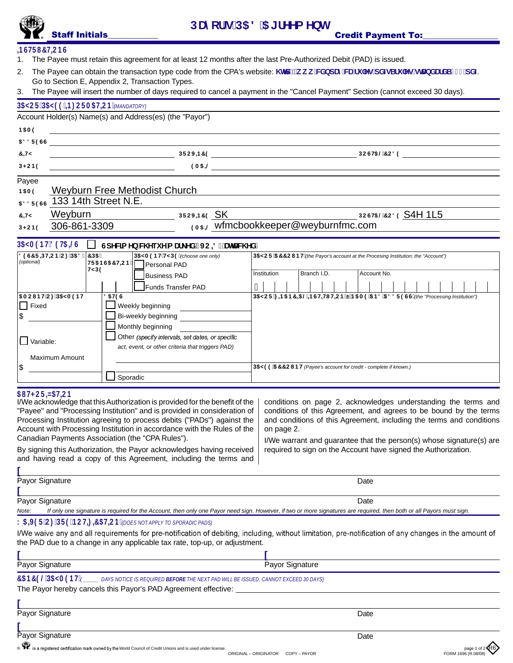## **+BGHFI7HCBG**

- 1. The Payee must retain this agreement for at least 12 months after the last Pre-Authorized Debit (PAD) is issued.
- 2. The Payee can obtain the transaction type code from the CPA's website: **\ Hd.#k k k 'WXbdUnWW#i** 'Yg#UXZgSfi 'Yg#gHJbXUfXS\$\$) "dXZ Go to Section E, Appendix 2, Transaction Types.
- 3. The Payee will insert the number of days required to cancel a payment in the "Cancel Payment" Section (cannot exceed 30 days).

| <b>BGHFI7HCBG</b><br>The Payee must retain this agreement for at least 12 months after the last Pre-Authorized Debit (PAD) is issued.<br>1.<br>The Payee can obtain the transaction type code from the CPA's website: \ Itd.#k k k 'WXbdUriWU#i `Yg#UXZgSfi `Yg#ULbXUfXS\$\$) "dXZ<br>2.<br>Go to Section E, Appendix 2, Transaction Types.<br>The Payee will insert the number of days required to cancel a payment in the "Cancel Payment" Section (cannot exceed 30 days).<br>3.<br>D5MCF#D5M99'=B: CFA5H=CB' (MANDATORY)<br>Account Holder(s) Name(s) and Address(es) (the "Payor")<br><b>B5A9</b><br>588F9GG<br>$\blacksquare$ $\blacksquare$ $\blacksquare$ $\blacksquare$ $\blacksquare$ $\blacksquare$ $\blacksquare$ $\blacksquare$ $\blacksquare$ $\blacksquare$ $\blacksquare$ $\blacksquare$ $\blacksquare$ $\blacksquare$ $\blacksquare$ $\blacksquare$ $\blacksquare$ $\blacksquare$ $\blacksquare$ $\blacksquare$ $\blacksquare$ $\blacksquare$ $\blacksquare$ $\blacksquare$ $\blacksquare$ $\blacksquare$ $\blacksquare$ $\blacksquare$ $\blacksquare$ $\blacksquare$ $\blacksquare$ $\blacks$<br>7 HM<br>$9A5 = 2$<br>D < CB9<br>Payee<br><b>Weyburn Free Methodist Church</b><br><b>B5A9</b><br>588F9GG 133 14th Street N.E.<br>Weyburn<br>DFCJ-B79 SK<br><b>DCGH5@7C89 S4H 1L5</b><br>$7 + M$<br>9A5=@ wfmcbookkeeper@weyburnfmc.com<br>306-861-3309<br>D < CB9<br>$DSMA9BH89H5 = 0$<br>GdYWJa Yb W Yei Ya Uf_YX JC-8" UHUW YX"<br>89G7F=DH=CB'C: 'D58<br>7D <sub>5</sub><br>D5MA9BH'HMD9 (choose one only)<br><b>D5MCF 577 CI BH</b> (the Payor's account at the Procesing Institution; the "Account")<br>(optional)<br>HF5BG57HCB<br>Personal PAD<br><b>HMD9</b><br>Institution<br>Branch I.D.<br>Account No.<br><b>Business PAD</b><br>\$<br><b>Funds Transfer PAD</b><br>5 A CIBH C: D5MA9BH<br>85H9G<br>D5MCF: ±85 B7 =5 @-BGH+II H=CB'EB5 A9'5 B8'588F9GG' (the "Processing Institution")<br>$\Box$ Fixed<br>Weekly beginning<br>\$<br>Bi-weekly beginning<br>Monthly beginning<br>Other (specify intervals, set dates, or specific<br>$\Box$ Variable:<br>act, event, or other criteria that triggers PAD)<br><b>Maximum Amount</b><br>\$<br>D5M99'577Cl BH (Payee's account for credit - complete if known.)<br>Sporadic<br>51 H <cf+n5h+cb<br>I/We acknowledge that this Authorization is provided for the benefit of the   conditions on page 2, acknowledges understanding the terms and<br/>"Payee" and "Processing Institution" and is provided in consideration of<br/>Processing Institution agreeing to process debits ("PADs") against the<br/>Account with Processing Institution in accordance with the Rules of the<br/>on page 2.<br/>Canadian Payments Association (the "CPA Rules").<br/>I/We warrant and guarantee that the person(s) whose signature(s) are<br/>By signing this Authorization, the Payor acknowledges having received<br/>required to sign on the Account have signed the Authorization.<br/>and having read a copy of this Agreement, including the terms and<br/>Payor Signature<br/>Date<br/>Payor Signature<br/>Date<br/>If only one signature is required for the Account, then only one Payor need sign. However, if two or more signatures are required, then both or all Payors must sign.<br/>Note:<br/>K5-J9F C: DF9!BCH= = 5HCB (DOES NOT APPLY TO SPORADIC PADS)<br/>I/We waive any and all requirements for pre-notification of debiting, including, without limitation, pre-notification of any changes in the amount of<br/>the PAD due to a change in any applicable tax rate, top-up, or adjustment.<br/>Payor Signature<br/>Payor Signature<br/>75B79@D5MA9BH<br/>DAYS NOTICE IS REQUIRED BEFORE THE NEXT PAD WILL BE ISSUED. CANNOT EXCEED 30 DAYS)<br/>The Payor hereby cancels this Payor's PAD Agreement effective:<br/>Payor Signature<br/>Date<br/>Payor Signature<br/>Date<br/>SE is a registered certification mark owned by the World Council of Credit Unions and is used under license.<br/>page 1 of 2 KO<br/>FORM 1696 (R.08/08<br/>ORIGINAL - ORIGINATOR COPY - PAYOR</cf+n5h+cb<br> | Staff Initials |  | <b>Credit Payment To:</b>                                                                                                                 |
|-----------------------------------------------------------------------------------------------------------------------------------------------------------------------------------------------------------------------------------------------------------------------------------------------------------------------------------------------------------------------------------------------------------------------------------------------------------------------------------------------------------------------------------------------------------------------------------------------------------------------------------------------------------------------------------------------------------------------------------------------------------------------------------------------------------------------------------------------------------------------------------------------------------------------------------------------------------------------------------------------------------------------------------------------------------------------------------------------------------------------------------------------------------------------------------------------------------------------------------------------------------------------------------------------------------------------------------------------------------------------------------------------------------------------------------------------------------------------------------------------------------------------------------------------------------------------------------------------------------------------------------------------------------------------------------------------------------------------------------------------------------------------------------------------------------------------------------------------------------------------------------------------------------------------------------------------------------------------------------------------------------------------------------------------------------------------------------------------------------------------------------------------------------------------------------------------------------------------------------------------------------------------------------------------------------------------------------------------------------------------------------------------------------------------------------------------------------------------------------------------------------------------------------------------------------------------------------------------------------------------------------------------------------------------------------------------------------------------------------------------------------------------------------------------------------------------------------------------------------------------------------------------------------------------------------------------------------------------------------------------------------------------------------------------------------------------------------------------------------------------------------------------------------------------------------------------------------------------------------------------------------------------------------------------------------------------------------------------------------------------------------------------------------------------------------------------------------------------------------------------------------------------------------------------------------------------------------------------------------------------------------------------------------------------------------------------------------------------------------------------------------------------------------------------------------------------------------------------------------------------------------------------------------------------------------------------------------------------------------------------------------------------------------------------------------------------------------|----------------|--|-------------------------------------------------------------------------------------------------------------------------------------------|
|                                                                                                                                                                                                                                                                                                                                                                                                                                                                                                                                                                                                                                                                                                                                                                                                                                                                                                                                                                                                                                                                                                                                                                                                                                                                                                                                                                                                                                                                                                                                                                                                                                                                                                                                                                                                                                                                                                                                                                                                                                                                                                                                                                                                                                                                                                                                                                                                                                                                                                                                                                                                                                                                                                                                                                                                                                                                                                                                                                                                                                                                                                                                                                                                                                                                                                                                                                                                                                                                                                                                                                                                                                                                                                                                                                                                                                                                                                                                                                                                                                                                                   |                |  |                                                                                                                                           |
|                                                                                                                                                                                                                                                                                                                                                                                                                                                                                                                                                                                                                                                                                                                                                                                                                                                                                                                                                                                                                                                                                                                                                                                                                                                                                                                                                                                                                                                                                                                                                                                                                                                                                                                                                                                                                                                                                                                                                                                                                                                                                                                                                                                                                                                                                                                                                                                                                                                                                                                                                                                                                                                                                                                                                                                                                                                                                                                                                                                                                                                                                                                                                                                                                                                                                                                                                                                                                                                                                                                                                                                                                                                                                                                                                                                                                                                                                                                                                                                                                                                                                   |                |  |                                                                                                                                           |
|                                                                                                                                                                                                                                                                                                                                                                                                                                                                                                                                                                                                                                                                                                                                                                                                                                                                                                                                                                                                                                                                                                                                                                                                                                                                                                                                                                                                                                                                                                                                                                                                                                                                                                                                                                                                                                                                                                                                                                                                                                                                                                                                                                                                                                                                                                                                                                                                                                                                                                                                                                                                                                                                                                                                                                                                                                                                                                                                                                                                                                                                                                                                                                                                                                                                                                                                                                                                                                                                                                                                                                                                                                                                                                                                                                                                                                                                                                                                                                                                                                                                                   |                |  |                                                                                                                                           |
|                                                                                                                                                                                                                                                                                                                                                                                                                                                                                                                                                                                                                                                                                                                                                                                                                                                                                                                                                                                                                                                                                                                                                                                                                                                                                                                                                                                                                                                                                                                                                                                                                                                                                                                                                                                                                                                                                                                                                                                                                                                                                                                                                                                                                                                                                                                                                                                                                                                                                                                                                                                                                                                                                                                                                                                                                                                                                                                                                                                                                                                                                                                                                                                                                                                                                                                                                                                                                                                                                                                                                                                                                                                                                                                                                                                                                                                                                                                                                                                                                                                                                   |                |  |                                                                                                                                           |
|                                                                                                                                                                                                                                                                                                                                                                                                                                                                                                                                                                                                                                                                                                                                                                                                                                                                                                                                                                                                                                                                                                                                                                                                                                                                                                                                                                                                                                                                                                                                                                                                                                                                                                                                                                                                                                                                                                                                                                                                                                                                                                                                                                                                                                                                                                                                                                                                                                                                                                                                                                                                                                                                                                                                                                                                                                                                                                                                                                                                                                                                                                                                                                                                                                                                                                                                                                                                                                                                                                                                                                                                                                                                                                                                                                                                                                                                                                                                                                                                                                                                                   |                |  |                                                                                                                                           |
|                                                                                                                                                                                                                                                                                                                                                                                                                                                                                                                                                                                                                                                                                                                                                                                                                                                                                                                                                                                                                                                                                                                                                                                                                                                                                                                                                                                                                                                                                                                                                                                                                                                                                                                                                                                                                                                                                                                                                                                                                                                                                                                                                                                                                                                                                                                                                                                                                                                                                                                                                                                                                                                                                                                                                                                                                                                                                                                                                                                                                                                                                                                                                                                                                                                                                                                                                                                                                                                                                                                                                                                                                                                                                                                                                                                                                                                                                                                                                                                                                                                                                   |                |  |                                                                                                                                           |
|                                                                                                                                                                                                                                                                                                                                                                                                                                                                                                                                                                                                                                                                                                                                                                                                                                                                                                                                                                                                                                                                                                                                                                                                                                                                                                                                                                                                                                                                                                                                                                                                                                                                                                                                                                                                                                                                                                                                                                                                                                                                                                                                                                                                                                                                                                                                                                                                                                                                                                                                                                                                                                                                                                                                                                                                                                                                                                                                                                                                                                                                                                                                                                                                                                                                                                                                                                                                                                                                                                                                                                                                                                                                                                                                                                                                                                                                                                                                                                                                                                                                                   |                |  |                                                                                                                                           |
|                                                                                                                                                                                                                                                                                                                                                                                                                                                                                                                                                                                                                                                                                                                                                                                                                                                                                                                                                                                                                                                                                                                                                                                                                                                                                                                                                                                                                                                                                                                                                                                                                                                                                                                                                                                                                                                                                                                                                                                                                                                                                                                                                                                                                                                                                                                                                                                                                                                                                                                                                                                                                                                                                                                                                                                                                                                                                                                                                                                                                                                                                                                                                                                                                                                                                                                                                                                                                                                                                                                                                                                                                                                                                                                                                                                                                                                                                                                                                                                                                                                                                   |                |  |                                                                                                                                           |
|                                                                                                                                                                                                                                                                                                                                                                                                                                                                                                                                                                                                                                                                                                                                                                                                                                                                                                                                                                                                                                                                                                                                                                                                                                                                                                                                                                                                                                                                                                                                                                                                                                                                                                                                                                                                                                                                                                                                                                                                                                                                                                                                                                                                                                                                                                                                                                                                                                                                                                                                                                                                                                                                                                                                                                                                                                                                                                                                                                                                                                                                                                                                                                                                                                                                                                                                                                                                                                                                                                                                                                                                                                                                                                                                                                                                                                                                                                                                                                                                                                                                                   |                |  |                                                                                                                                           |
|                                                                                                                                                                                                                                                                                                                                                                                                                                                                                                                                                                                                                                                                                                                                                                                                                                                                                                                                                                                                                                                                                                                                                                                                                                                                                                                                                                                                                                                                                                                                                                                                                                                                                                                                                                                                                                                                                                                                                                                                                                                                                                                                                                                                                                                                                                                                                                                                                                                                                                                                                                                                                                                                                                                                                                                                                                                                                                                                                                                                                                                                                                                                                                                                                                                                                                                                                                                                                                                                                                                                                                                                                                                                                                                                                                                                                                                                                                                                                                                                                                                                                   |                |  |                                                                                                                                           |
|                                                                                                                                                                                                                                                                                                                                                                                                                                                                                                                                                                                                                                                                                                                                                                                                                                                                                                                                                                                                                                                                                                                                                                                                                                                                                                                                                                                                                                                                                                                                                                                                                                                                                                                                                                                                                                                                                                                                                                                                                                                                                                                                                                                                                                                                                                                                                                                                                                                                                                                                                                                                                                                                                                                                                                                                                                                                                                                                                                                                                                                                                                                                                                                                                                                                                                                                                                                                                                                                                                                                                                                                                                                                                                                                                                                                                                                                                                                                                                                                                                                                                   |                |  |                                                                                                                                           |
|                                                                                                                                                                                                                                                                                                                                                                                                                                                                                                                                                                                                                                                                                                                                                                                                                                                                                                                                                                                                                                                                                                                                                                                                                                                                                                                                                                                                                                                                                                                                                                                                                                                                                                                                                                                                                                                                                                                                                                                                                                                                                                                                                                                                                                                                                                                                                                                                                                                                                                                                                                                                                                                                                                                                                                                                                                                                                                                                                                                                                                                                                                                                                                                                                                                                                                                                                                                                                                                                                                                                                                                                                                                                                                                                                                                                                                                                                                                                                                                                                                                                                   |                |  |                                                                                                                                           |
|                                                                                                                                                                                                                                                                                                                                                                                                                                                                                                                                                                                                                                                                                                                                                                                                                                                                                                                                                                                                                                                                                                                                                                                                                                                                                                                                                                                                                                                                                                                                                                                                                                                                                                                                                                                                                                                                                                                                                                                                                                                                                                                                                                                                                                                                                                                                                                                                                                                                                                                                                                                                                                                                                                                                                                                                                                                                                                                                                                                                                                                                                                                                                                                                                                                                                                                                                                                                                                                                                                                                                                                                                                                                                                                                                                                                                                                                                                                                                                                                                                                                                   |                |  |                                                                                                                                           |
|                                                                                                                                                                                                                                                                                                                                                                                                                                                                                                                                                                                                                                                                                                                                                                                                                                                                                                                                                                                                                                                                                                                                                                                                                                                                                                                                                                                                                                                                                                                                                                                                                                                                                                                                                                                                                                                                                                                                                                                                                                                                                                                                                                                                                                                                                                                                                                                                                                                                                                                                                                                                                                                                                                                                                                                                                                                                                                                                                                                                                                                                                                                                                                                                                                                                                                                                                                                                                                                                                                                                                                                                                                                                                                                                                                                                                                                                                                                                                                                                                                                                                   |                |  |                                                                                                                                           |
|                                                                                                                                                                                                                                                                                                                                                                                                                                                                                                                                                                                                                                                                                                                                                                                                                                                                                                                                                                                                                                                                                                                                                                                                                                                                                                                                                                                                                                                                                                                                                                                                                                                                                                                                                                                                                                                                                                                                                                                                                                                                                                                                                                                                                                                                                                                                                                                                                                                                                                                                                                                                                                                                                                                                                                                                                                                                                                                                                                                                                                                                                                                                                                                                                                                                                                                                                                                                                                                                                                                                                                                                                                                                                                                                                                                                                                                                                                                                                                                                                                                                                   |                |  |                                                                                                                                           |
|                                                                                                                                                                                                                                                                                                                                                                                                                                                                                                                                                                                                                                                                                                                                                                                                                                                                                                                                                                                                                                                                                                                                                                                                                                                                                                                                                                                                                                                                                                                                                                                                                                                                                                                                                                                                                                                                                                                                                                                                                                                                                                                                                                                                                                                                                                                                                                                                                                                                                                                                                                                                                                                                                                                                                                                                                                                                                                                                                                                                                                                                                                                                                                                                                                                                                                                                                                                                                                                                                                                                                                                                                                                                                                                                                                                                                                                                                                                                                                                                                                                                                   |                |  |                                                                                                                                           |
|                                                                                                                                                                                                                                                                                                                                                                                                                                                                                                                                                                                                                                                                                                                                                                                                                                                                                                                                                                                                                                                                                                                                                                                                                                                                                                                                                                                                                                                                                                                                                                                                                                                                                                                                                                                                                                                                                                                                                                                                                                                                                                                                                                                                                                                                                                                                                                                                                                                                                                                                                                                                                                                                                                                                                                                                                                                                                                                                                                                                                                                                                                                                                                                                                                                                                                                                                                                                                                                                                                                                                                                                                                                                                                                                                                                                                                                                                                                                                                                                                                                                                   |                |  |                                                                                                                                           |
|                                                                                                                                                                                                                                                                                                                                                                                                                                                                                                                                                                                                                                                                                                                                                                                                                                                                                                                                                                                                                                                                                                                                                                                                                                                                                                                                                                                                                                                                                                                                                                                                                                                                                                                                                                                                                                                                                                                                                                                                                                                                                                                                                                                                                                                                                                                                                                                                                                                                                                                                                                                                                                                                                                                                                                                                                                                                                                                                                                                                                                                                                                                                                                                                                                                                                                                                                                                                                                                                                                                                                                                                                                                                                                                                                                                                                                                                                                                                                                                                                                                                                   |                |  |                                                                                                                                           |
|                                                                                                                                                                                                                                                                                                                                                                                                                                                                                                                                                                                                                                                                                                                                                                                                                                                                                                                                                                                                                                                                                                                                                                                                                                                                                                                                                                                                                                                                                                                                                                                                                                                                                                                                                                                                                                                                                                                                                                                                                                                                                                                                                                                                                                                                                                                                                                                                                                                                                                                                                                                                                                                                                                                                                                                                                                                                                                                                                                                                                                                                                                                                                                                                                                                                                                                                                                                                                                                                                                                                                                                                                                                                                                                                                                                                                                                                                                                                                                                                                                                                                   |                |  |                                                                                                                                           |
|                                                                                                                                                                                                                                                                                                                                                                                                                                                                                                                                                                                                                                                                                                                                                                                                                                                                                                                                                                                                                                                                                                                                                                                                                                                                                                                                                                                                                                                                                                                                                                                                                                                                                                                                                                                                                                                                                                                                                                                                                                                                                                                                                                                                                                                                                                                                                                                                                                                                                                                                                                                                                                                                                                                                                                                                                                                                                                                                                                                                                                                                                                                                                                                                                                                                                                                                                                                                                                                                                                                                                                                                                                                                                                                                                                                                                                                                                                                                                                                                                                                                                   |                |  |                                                                                                                                           |
|                                                                                                                                                                                                                                                                                                                                                                                                                                                                                                                                                                                                                                                                                                                                                                                                                                                                                                                                                                                                                                                                                                                                                                                                                                                                                                                                                                                                                                                                                                                                                                                                                                                                                                                                                                                                                                                                                                                                                                                                                                                                                                                                                                                                                                                                                                                                                                                                                                                                                                                                                                                                                                                                                                                                                                                                                                                                                                                                                                                                                                                                                                                                                                                                                                                                                                                                                                                                                                                                                                                                                                                                                                                                                                                                                                                                                                                                                                                                                                                                                                                                                   |                |  |                                                                                                                                           |
|                                                                                                                                                                                                                                                                                                                                                                                                                                                                                                                                                                                                                                                                                                                                                                                                                                                                                                                                                                                                                                                                                                                                                                                                                                                                                                                                                                                                                                                                                                                                                                                                                                                                                                                                                                                                                                                                                                                                                                                                                                                                                                                                                                                                                                                                                                                                                                                                                                                                                                                                                                                                                                                                                                                                                                                                                                                                                                                                                                                                                                                                                                                                                                                                                                                                                                                                                                                                                                                                                                                                                                                                                                                                                                                                                                                                                                                                                                                                                                                                                                                                                   |                |  |                                                                                                                                           |
|                                                                                                                                                                                                                                                                                                                                                                                                                                                                                                                                                                                                                                                                                                                                                                                                                                                                                                                                                                                                                                                                                                                                                                                                                                                                                                                                                                                                                                                                                                                                                                                                                                                                                                                                                                                                                                                                                                                                                                                                                                                                                                                                                                                                                                                                                                                                                                                                                                                                                                                                                                                                                                                                                                                                                                                                                                                                                                                                                                                                                                                                                                                                                                                                                                                                                                                                                                                                                                                                                                                                                                                                                                                                                                                                                                                                                                                                                                                                                                                                                                                                                   |                |  |                                                                                                                                           |
|                                                                                                                                                                                                                                                                                                                                                                                                                                                                                                                                                                                                                                                                                                                                                                                                                                                                                                                                                                                                                                                                                                                                                                                                                                                                                                                                                                                                                                                                                                                                                                                                                                                                                                                                                                                                                                                                                                                                                                                                                                                                                                                                                                                                                                                                                                                                                                                                                                                                                                                                                                                                                                                                                                                                                                                                                                                                                                                                                                                                                                                                                                                                                                                                                                                                                                                                                                                                                                                                                                                                                                                                                                                                                                                                                                                                                                                                                                                                                                                                                                                                                   |                |  |                                                                                                                                           |
|                                                                                                                                                                                                                                                                                                                                                                                                                                                                                                                                                                                                                                                                                                                                                                                                                                                                                                                                                                                                                                                                                                                                                                                                                                                                                                                                                                                                                                                                                                                                                                                                                                                                                                                                                                                                                                                                                                                                                                                                                                                                                                                                                                                                                                                                                                                                                                                                                                                                                                                                                                                                                                                                                                                                                                                                                                                                                                                                                                                                                                                                                                                                                                                                                                                                                                                                                                                                                                                                                                                                                                                                                                                                                                                                                                                                                                                                                                                                                                                                                                                                                   |                |  |                                                                                                                                           |
|                                                                                                                                                                                                                                                                                                                                                                                                                                                                                                                                                                                                                                                                                                                                                                                                                                                                                                                                                                                                                                                                                                                                                                                                                                                                                                                                                                                                                                                                                                                                                                                                                                                                                                                                                                                                                                                                                                                                                                                                                                                                                                                                                                                                                                                                                                                                                                                                                                                                                                                                                                                                                                                                                                                                                                                                                                                                                                                                                                                                                                                                                                                                                                                                                                                                                                                                                                                                                                                                                                                                                                                                                                                                                                                                                                                                                                                                                                                                                                                                                                                                                   |                |  |                                                                                                                                           |
|                                                                                                                                                                                                                                                                                                                                                                                                                                                                                                                                                                                                                                                                                                                                                                                                                                                                                                                                                                                                                                                                                                                                                                                                                                                                                                                                                                                                                                                                                                                                                                                                                                                                                                                                                                                                                                                                                                                                                                                                                                                                                                                                                                                                                                                                                                                                                                                                                                                                                                                                                                                                                                                                                                                                                                                                                                                                                                                                                                                                                                                                                                                                                                                                                                                                                                                                                                                                                                                                                                                                                                                                                                                                                                                                                                                                                                                                                                                                                                                                                                                                                   |                |  |                                                                                                                                           |
|                                                                                                                                                                                                                                                                                                                                                                                                                                                                                                                                                                                                                                                                                                                                                                                                                                                                                                                                                                                                                                                                                                                                                                                                                                                                                                                                                                                                                                                                                                                                                                                                                                                                                                                                                                                                                                                                                                                                                                                                                                                                                                                                                                                                                                                                                                                                                                                                                                                                                                                                                                                                                                                                                                                                                                                                                                                                                                                                                                                                                                                                                                                                                                                                                                                                                                                                                                                                                                                                                                                                                                                                                                                                                                                                                                                                                                                                                                                                                                                                                                                                                   |                |  | conditions of this Agreement, and agrees to be bound by the terms<br>and conditions of this Agreement, including the terms and conditions |
|                                                                                                                                                                                                                                                                                                                                                                                                                                                                                                                                                                                                                                                                                                                                                                                                                                                                                                                                                                                                                                                                                                                                                                                                                                                                                                                                                                                                                                                                                                                                                                                                                                                                                                                                                                                                                                                                                                                                                                                                                                                                                                                                                                                                                                                                                                                                                                                                                                                                                                                                                                                                                                                                                                                                                                                                                                                                                                                                                                                                                                                                                                                                                                                                                                                                                                                                                                                                                                                                                                                                                                                                                                                                                                                                                                                                                                                                                                                                                                                                                                                                                   |                |  |                                                                                                                                           |
|                                                                                                                                                                                                                                                                                                                                                                                                                                                                                                                                                                                                                                                                                                                                                                                                                                                                                                                                                                                                                                                                                                                                                                                                                                                                                                                                                                                                                                                                                                                                                                                                                                                                                                                                                                                                                                                                                                                                                                                                                                                                                                                                                                                                                                                                                                                                                                                                                                                                                                                                                                                                                                                                                                                                                                                                                                                                                                                                                                                                                                                                                                                                                                                                                                                                                                                                                                                                                                                                                                                                                                                                                                                                                                                                                                                                                                                                                                                                                                                                                                                                                   |                |  |                                                                                                                                           |
|                                                                                                                                                                                                                                                                                                                                                                                                                                                                                                                                                                                                                                                                                                                                                                                                                                                                                                                                                                                                                                                                                                                                                                                                                                                                                                                                                                                                                                                                                                                                                                                                                                                                                                                                                                                                                                                                                                                                                                                                                                                                                                                                                                                                                                                                                                                                                                                                                                                                                                                                                                                                                                                                                                                                                                                                                                                                                                                                                                                                                                                                                                                                                                                                                                                                                                                                                                                                                                                                                                                                                                                                                                                                                                                                                                                                                                                                                                                                                                                                                                                                                   |                |  |                                                                                                                                           |
|                                                                                                                                                                                                                                                                                                                                                                                                                                                                                                                                                                                                                                                                                                                                                                                                                                                                                                                                                                                                                                                                                                                                                                                                                                                                                                                                                                                                                                                                                                                                                                                                                                                                                                                                                                                                                                                                                                                                                                                                                                                                                                                                                                                                                                                                                                                                                                                                                                                                                                                                                                                                                                                                                                                                                                                                                                                                                                                                                                                                                                                                                                                                                                                                                                                                                                                                                                                                                                                                                                                                                                                                                                                                                                                                                                                                                                                                                                                                                                                                                                                                                   |                |  |                                                                                                                                           |
|                                                                                                                                                                                                                                                                                                                                                                                                                                                                                                                                                                                                                                                                                                                                                                                                                                                                                                                                                                                                                                                                                                                                                                                                                                                                                                                                                                                                                                                                                                                                                                                                                                                                                                                                                                                                                                                                                                                                                                                                                                                                                                                                                                                                                                                                                                                                                                                                                                                                                                                                                                                                                                                                                                                                                                                                                                                                                                                                                                                                                                                                                                                                                                                                                                                                                                                                                                                                                                                                                                                                                                                                                                                                                                                                                                                                                                                                                                                                                                                                                                                                                   |                |  |                                                                                                                                           |
|                                                                                                                                                                                                                                                                                                                                                                                                                                                                                                                                                                                                                                                                                                                                                                                                                                                                                                                                                                                                                                                                                                                                                                                                                                                                                                                                                                                                                                                                                                                                                                                                                                                                                                                                                                                                                                                                                                                                                                                                                                                                                                                                                                                                                                                                                                                                                                                                                                                                                                                                                                                                                                                                                                                                                                                                                                                                                                                                                                                                                                                                                                                                                                                                                                                                                                                                                                                                                                                                                                                                                                                                                                                                                                                                                                                                                                                                                                                                                                                                                                                                                   |                |  |                                                                                                                                           |
|                                                                                                                                                                                                                                                                                                                                                                                                                                                                                                                                                                                                                                                                                                                                                                                                                                                                                                                                                                                                                                                                                                                                                                                                                                                                                                                                                                                                                                                                                                                                                                                                                                                                                                                                                                                                                                                                                                                                                                                                                                                                                                                                                                                                                                                                                                                                                                                                                                                                                                                                                                                                                                                                                                                                                                                                                                                                                                                                                                                                                                                                                                                                                                                                                                                                                                                                                                                                                                                                                                                                                                                                                                                                                                                                                                                                                                                                                                                                                                                                                                                                                   |                |  |                                                                                                                                           |
|                                                                                                                                                                                                                                                                                                                                                                                                                                                                                                                                                                                                                                                                                                                                                                                                                                                                                                                                                                                                                                                                                                                                                                                                                                                                                                                                                                                                                                                                                                                                                                                                                                                                                                                                                                                                                                                                                                                                                                                                                                                                                                                                                                                                                                                                                                                                                                                                                                                                                                                                                                                                                                                                                                                                                                                                                                                                                                                                                                                                                                                                                                                                                                                                                                                                                                                                                                                                                                                                                                                                                                                                                                                                                                                                                                                                                                                                                                                                                                                                                                                                                   |                |  |                                                                                                                                           |
|                                                                                                                                                                                                                                                                                                                                                                                                                                                                                                                                                                                                                                                                                                                                                                                                                                                                                                                                                                                                                                                                                                                                                                                                                                                                                                                                                                                                                                                                                                                                                                                                                                                                                                                                                                                                                                                                                                                                                                                                                                                                                                                                                                                                                                                                                                                                                                                                                                                                                                                                                                                                                                                                                                                                                                                                                                                                                                                                                                                                                                                                                                                                                                                                                                                                                                                                                                                                                                                                                                                                                                                                                                                                                                                                                                                                                                                                                                                                                                                                                                                                                   |                |  |                                                                                                                                           |
|                                                                                                                                                                                                                                                                                                                                                                                                                                                                                                                                                                                                                                                                                                                                                                                                                                                                                                                                                                                                                                                                                                                                                                                                                                                                                                                                                                                                                                                                                                                                                                                                                                                                                                                                                                                                                                                                                                                                                                                                                                                                                                                                                                                                                                                                                                                                                                                                                                                                                                                                                                                                                                                                                                                                                                                                                                                                                                                                                                                                                                                                                                                                                                                                                                                                                                                                                                                                                                                                                                                                                                                                                                                                                                                                                                                                                                                                                                                                                                                                                                                                                   |                |  |                                                                                                                                           |
|                                                                                                                                                                                                                                                                                                                                                                                                                                                                                                                                                                                                                                                                                                                                                                                                                                                                                                                                                                                                                                                                                                                                                                                                                                                                                                                                                                                                                                                                                                                                                                                                                                                                                                                                                                                                                                                                                                                                                                                                                                                                                                                                                                                                                                                                                                                                                                                                                                                                                                                                                                                                                                                                                                                                                                                                                                                                                                                                                                                                                                                                                                                                                                                                                                                                                                                                                                                                                                                                                                                                                                                                                                                                                                                                                                                                                                                                                                                                                                                                                                                                                   |                |  |                                                                                                                                           |

## **\$87+25,=\$7,21**

| J11N114N14V<br>I/We acknowledge that this Authorization is provided for the benefit of the<br>"Payee" and "Processing Institution" and is provided in consideration of<br>Processing Institution agreeing to process debits ("PADs") against the<br>Account with Processing Institution in accordance with the Rules of the<br>Canadian Payments Association (the "CPA Rules").<br>By signing this Authorization, the Payor acknowledges having received<br>and having read a copy of this Agreement, including the terms and | conditions on page 2, acknowledges understanding the terms and<br>conditions of this Agreement, and agrees to be bound by the terms<br>and conditions of this Agreement, including the terms and conditions<br>on page 2.<br>I/We warrant and guarantee that the person(s) whose signature(s) are<br>required to sign on the Account have signed the Authorization. |
|-------------------------------------------------------------------------------------------------------------------------------------------------------------------------------------------------------------------------------------------------------------------------------------------------------------------------------------------------------------------------------------------------------------------------------------------------------------------------------------------------------------------------------|---------------------------------------------------------------------------------------------------------------------------------------------------------------------------------------------------------------------------------------------------------------------------------------------------------------------------------------------------------------------|
|                                                                                                                                                                                                                                                                                                                                                                                                                                                                                                                               |                                                                                                                                                                                                                                                                                                                                                                     |

| Payor Signature                                                                                                                                                                | Date |  |  |  |
|--------------------------------------------------------------------------------------------------------------------------------------------------------------------------------|------|--|--|--|
|                                                                                                                                                                                |      |  |  |  |
| Payor Signature                                                                                                                                                                | Date |  |  |  |
| If only one signature is required for the Account, then only one Payor need sign. However, if two or more signatures are required, then both or all Payors must sign.<br>Note: |      |  |  |  |
| $K5 = 9F^{\prime}C$ : DF9!BCH= $= 75H\cdot CD$ (DOES NOT APPLY TO SPORADIC PADS)                                                                                               |      |  |  |  |
| I/We waive any and all requirements for pre-notification of debiting, including, without limitation, pre-notification of any changes in the amount of                          |      |  |  |  |
| the PAD due to a change in any applicable tax rate, top-up, or adjustment.                                                                                                     |      |  |  |  |
|                                                                                                                                                                                |      |  |  |  |

| Payor Signature                                                                                                                                                              | Payor Signature |           |  |  |  |  |
|------------------------------------------------------------------------------------------------------------------------------------------------------------------------------|-----------------|-----------|--|--|--|--|
| 75 B79 @D5 MA9BH' (CALC DAYS NOTICE IS REQUIRED BEFORE THE NEXT PAD WILL BE ISSUED. CANNOT EXCEED 30 DAYS)<br>The Payor hereby cancels this Payor's PAD Agreement effective: |                 |           |  |  |  |  |
|                                                                                                                                                                              |                 |           |  |  |  |  |
| Payor Signature                                                                                                                                                              | Date            |           |  |  |  |  |
| Payor Signature<br>GHE.                                                                                                                                                      | Date            | $\lambda$ |  |  |  |  |

| 1,200<br>8 Your is a registered certification mark owned by the World Council of Credit Unions and is used under license. | <u>া 2 SK D .</u> |              |                     |  |
|---------------------------------------------------------------------------------------------------------------------------|-------------------|--------------|---------------------|--|
| ORIGINAL - 0                                                                                                              | ORIGINATOR        | COPY - PAYOR | FORM 1696 (R.08/08) |  |